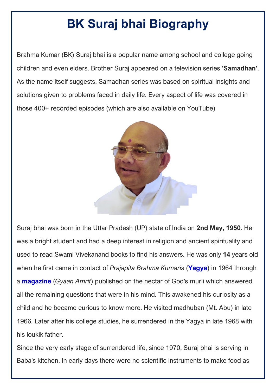# **[BK Suraj bhai Biography](https://www.shivbabas.org/bk-suraj-bhai)**

Brahma Kumar (BK) Suraj bhai is a popular name among school and college going children and even elders. Brother Suraj appeared on a television series **'Samadhan'**. As the name itself suggests, Samadhan series was based on spiritual insights and solutions given to problems faced in daily life. Every aspect of life was covered in those 400+ recorded episodes (which are also available on YouTube)



Suraj bhai was born in the Uttar Pradesh (UP) state of India on **2nd May, 1950**. He was a bright student and had a deep interest in religion and ancient spirituality and used to read Swami Vivekanand books to find his answers. He was only **14** years old when he first came in contact of *Prajapita Brahma Kumaris* (**[Yagya](https://www.shivbabas.org/history)**) in 1964 through a **[magazine](https://www.shivbabas.org/magazines)** (*Gyaan Amrit*) published on the nectar of God's murli which answered all the remaining questions that were in his mind. This awakened his curiosity as a child and he became curious to know more. He visited madhuban (Mt. Abu) in late 1966. Later after his college studies, he surrendered in the Yagya in late 1968 with his loukik father.

Since the very early stage of surrendered life, since 1970, Suraj bhai is serving in Baba's kitchen. In early days there were no scientific instruments to make food as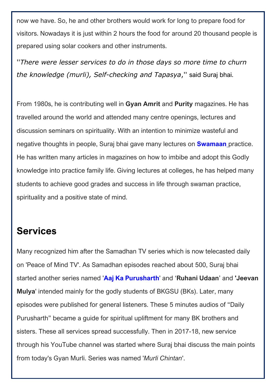now we have. So, he and other brothers would work for long to prepare food for visitors. Nowadays it is just within 2 hours the food for around 20 thousand people is prepared using solar cookers and other instruments.

''*There were lesser services to do in those days so more time to churn the knowledge (murli), Self-checking and Tapasya*,'' said Suraj bhai.

From 1980s, he is contributing well in **Gyan Amrit** and **Purity** magazines. He has travelled around the world and attended many centre openings, lectures and discussion seminars on spirituality. With an intention to minimize wasteful and negative thoughts in people, Suraj bhai gave many lectures on **[Swamaan](https://www.youtube.com/playlist?list=PLVTJYOj3fHtHjdxqZhniGRCjWUv6MlRMY)** practice. He has written many articles in magazines on how to imbibe and adopt this Godly knowledge into practice family life. Giving lectures at colleges, he has helped many students to achieve good grades and success in life through swaman practice, spirituality and a positive state of mind.

### **Services**

Many recognized him after the Samadhan TV series which is now telecasted daily on 'Peace of Mind TV'. As Samadhan episodes reached about 500, Suraj bhai started another series named '**[Aaj Ka Purusharth](https://www.bksustenance.net/aaj-ka-purusharth-bk-suraj)**' and '**Ruhani Udaan**' and **'Jeevan Mulya**' intended mainly for the godly students of BKGSU (BKs). Later, many episodes were published for general listeners. These 5 minutes audios of "Daily Purusharth" became a guide for spiritual upliftment for many BK brothers and sisters. These all services spread successfully. Then in 2017-18, new service through his YouTube channel was started where Suraj bhai discuss the main points from today's Gyan Murli. Series was named '*Murli Chintan*'.